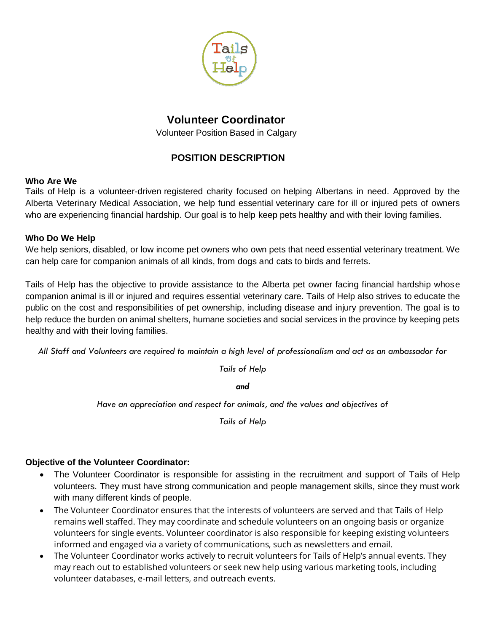

# **Volunteer Coordinator**

Volunteer Position Based in Calgary

## **POSITION DESCRIPTION**

#### **Who Are We**

Tails of Help is a volunteer-driven registered charity focused on helping Albertans in need. Approved by the Alberta Veterinary Medical Association, we help fund essential veterinary care for ill or injured pets of owners who are experiencing financial hardship. Our goal is to help keep pets healthy and with their loving families.

#### **Who Do We Help**

We help seniors, disabled, or low income pet owners who own pets that need essential veterinary treatment. We can help care for companion animals of all kinds, from dogs and cats to birds and ferrets.

Tails of Help has the objective to provide assistance to the Alberta pet owner facing financial hardship whose companion animal is ill or injured and requires essential veterinary care. Tails of Help also strives to educate the public on the cost and responsibilities of pet ownership, including disease and injury prevention. The goal is to help reduce the burden on animal shelters, humane societies and social services in the province by keeping pets healthy and with their loving families.

*All Staff and Volunteers are required to maintain a high level of professionalism and act as an ambassador for* 

*Tails of Help*

*and*

*Have an appreciation and respect for animals, and the values and objectives of* 

*Tails of Help*

## **Objective of the Volunteer Coordinator:**

- The Volunteer Coordinator is responsible for assisting in the recruitment and support of Tails of Help volunteers. They must have strong communication and people management skills, since they must work with many different kinds of people.
- The Volunteer Coordinator ensures that the interests of volunteers are served and that Tails of Help remains well staffed. They may coordinate and schedule volunteers on an ongoing basis or organize volunteers for single events. Volunteer coordinator is also responsible for keeping existing volunteers informed and engaged via a variety of communications, such as newsletters and email.
- The Volunteer Coordinator works actively to recruit volunteers for Tails of Help's annual events. They may reach out to established volunteers or seek new help using various marketing tools, including volunteer databases, e-mail letters, and outreach events.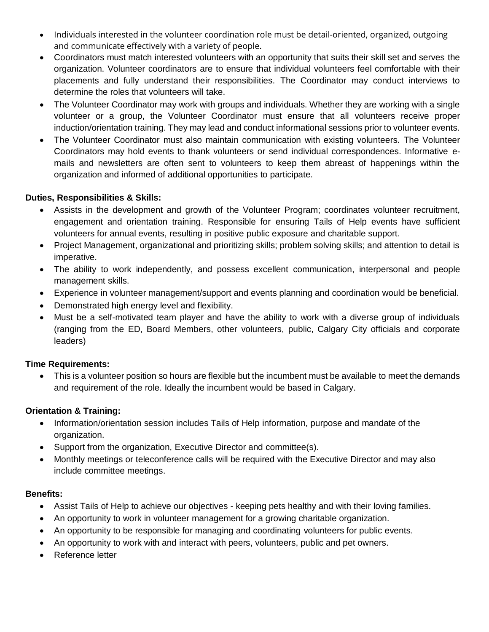- Individuals interested in the volunteer coordination role must be detail-oriented, organized, outgoing and communicate effectively with a variety of people.
- Coordinators must match interested volunteers with an opportunity that suits their skill set and serves the organization. Volunteer coordinators are to ensure that individual volunteers feel comfortable with their placements and fully understand their responsibilities. The Coordinator may conduct interviews to determine the roles that volunteers will take.
- The Volunteer Coordinator may work with groups and individuals. Whether they are working with a single volunteer or a group, the Volunteer Coordinator must ensure that all volunteers receive proper induction/orientation training. They may lead and conduct informational sessions prior to volunteer events.
- The Volunteer Coordinator must also maintain communication with existing volunteers. The Volunteer Coordinators may hold events to thank volunteers or send individual correspondences. Informative emails and newsletters are often sent to volunteers to keep them abreast of happenings within the organization and informed of additional opportunities to participate.

### **Duties, Responsibilities & Skills:**

- Assists in the development and growth of the Volunteer Program; coordinates volunteer recruitment, engagement and orientation training. Responsible for ensuring Tails of Help events have sufficient volunteers for annual events, resulting in positive public exposure and charitable support.
- Project Management, organizational and prioritizing skills; problem solving skills; and attention to detail is imperative.
- The ability to work independently, and possess excellent communication, interpersonal and people management skills.
- Experience in volunteer management/support and events planning and coordination would be beneficial.
- Demonstrated high energy level and flexibility.
- Must be a self-motivated team player and have the ability to work with a diverse group of individuals (ranging from the ED, Board Members, other volunteers, public, Calgary City officials and corporate leaders)

#### **Time Requirements:**

• This is a volunteer position so hours are flexible but the incumbent must be available to meet the demands and requirement of the role. Ideally the incumbent would be based in Calgary.

#### **Orientation & Training:**

- Information/orientation session includes Tails of Help information, purpose and mandate of the organization.
- Support from the organization, Executive Director and committee(s).
- Monthly meetings or teleconference calls will be required with the Executive Director and may also include committee meetings.

#### **Benefits:**

- Assist Tails of Help to achieve our objectives keeping pets healthy and with their loving families.
- An opportunity to work in volunteer management for a growing charitable organization.
- An opportunity to be responsible for managing and coordinating volunteers for public events.
- An opportunity to work with and interact with peers, volunteers, public and pet owners.
- Reference letter